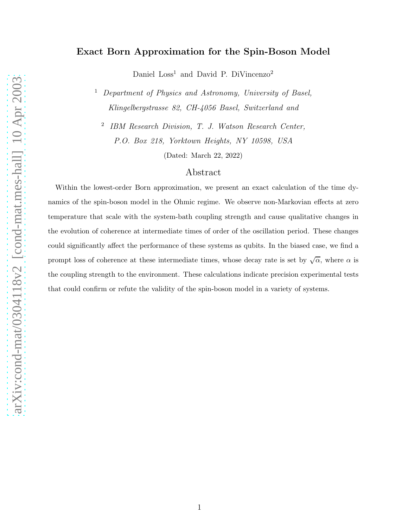## Exact Born Approximation for the Spin-Boson Model

Daniel  $Loss<sup>1</sup>$  and David P. DiVincenzo<sup>2</sup>

<sup>1</sup> Department of Physics and Astronomy, University of Basel, Klingelbergstrasse 82, CH-4056 Basel, Switzerland and

2 IBM Research Division, T. J. Watson Research Center, P.O. Box 218, Yorktown Heights, NY 10598, USA

(Dated: March 22, 2022)

## Abstract

Within the lowest-order Born approximation, we present an exact calculation of the time dynamics of the spin-boson model in the Ohmic regime. We observe non-Markovian effects at zero temperature that scale with the system-bath coupling strength and cause qualitative changes in the evolution of coherence at intermediate times of order of the oscillation period. These changes could significantly affect the performance of these systems as qubits. In the biased case, we find a prompt loss of coherence at these intermediate times, whose decay rate is set by  $\sqrt{\alpha}$ , where  $\alpha$  is the coupling strength to the environment. These calculations indicate precision experimental tests that could confirm or refute the validity of the spin-boson model in a variety of systems.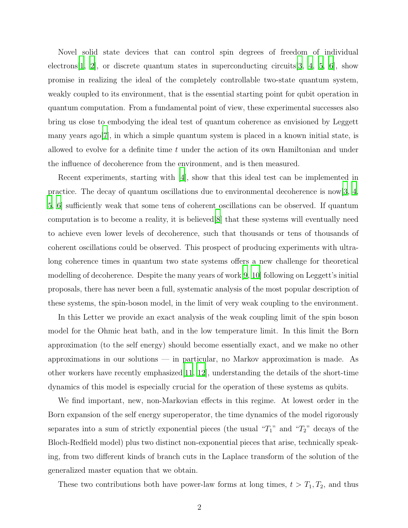Novel solid state devices that can control spin degrees of freedom of individual electrons  $[1, 2]$  $[1, 2]$ , or discrete quantum states in superconducting circuits  $[3, 4, 5, 6]$  $[3, 4, 5, 6]$  $[3, 4, 5, 6]$  $[3, 4, 5, 6]$  $[3, 4, 5, 6]$  $[3, 4, 5, 6]$ , show promise in realizing the ideal of the completely controllable two-state quantum system, weakly coupled to its environment, that is the essential starting point for qubit operation in quantum computation. From a fundamental point of view, these experimental successes also bring us close to embodying the ideal test of quantum coherence as envisioned by Leggett many years ago[\[7\]](#page-10-6), in which a simple quantum system is placed in a known initial state, is allowed to evolve for a definite time  $t$  under the action of its own Hamiltonian and under the influence of decoherence from the environment, and is then measured.

Recent experiments, starting with [\[4\]](#page-10-3), show that this ideal test can be implemented in practice. The decay of quantum oscillations due to environmental decoherence is now  $\ket{3, 4}$ , [5,](#page-10-4) [6](#page-10-5)] sufficiently weak that some tens of coherent oscillations can be observed. If quantum computation is to become a reality, it is believed[\[8](#page-10-7)] that these systems will eventually need to achieve even lower levels of decoherence, such that thousands or tens of thousands of coherent oscillations could be observed. This prospect of producing experiments with ultralong coherence times in quantum two state systems offers a new challenge for theoretical modelling of decoherence. Despite the many years of work[\[9,](#page-10-8) [10\]](#page-10-9) following on Leggett's initial proposals, there has never been a full, systematic analysis of the most popular description of these systems, the spin-boson model, in the limit of very weak coupling to the environment.

In this Letter we provide an exact analysis of the weak coupling limit of the spin boson model for the Ohmic heat bath, and in the low temperature limit. In this limit the Born approximation (to the self energy) should become essentially exact, and we make no other approximations in our solutions — in particular, no Markov approximation is made. As other workers have recently emphasized[\[11](#page-10-10), [12](#page-10-11)], understanding the details of the short-time dynamics of this model is especially crucial for the operation of these systems as qubits.

We find important, new, non-Markovian effects in this regime. At lowest order in the Born expansion of the self energy superoperator, the time dynamics of the model rigorously separates into a sum of strictly exponential pieces (the usual " $T_1$ " and " $T_2$ " decays of the Bloch-Redfield model) plus two distinct non-exponential pieces that arise, technically speaking, from two different kinds of branch cuts in the Laplace transform of the solution of the generalized master equation that we obtain.

These two contributions both have power-law forms at long times,  $t > T_1, T_2$ , and thus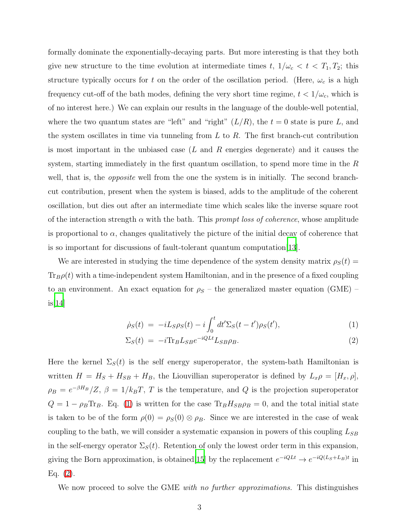formally dominate the exponentially-decaying parts. But more interesting is that they both give new structure to the time evolution at intermediate times t,  $1/\omega_c < t < T_1, T_2$ ; this structure typically occurs for t on the order of the oscillation period. (Here,  $\omega_c$  is a high frequency cut-off of the bath modes, defining the very short time regime,  $t < 1/\omega_c$ , which is of no interest here.) We can explain our results in the language of the double-well potential, where the two quantum states are "left" and "right"  $(L/R)$ , the  $t = 0$  state is pure L, and the system oscillates in time via tunneling from  $L$  to  $R$ . The first branch-cut contribution is most important in the unbiased case  $(L \text{ and } R \text{ energies degenerate})$  and it causes the system, starting immediately in the first quantum oscillation, to spend more time in the R well, that is, the *opposite* well from the one the system is in initially. The second branchcut contribution, present when the system is biased, adds to the amplitude of the coherent oscillation, but dies out after an intermediate time which scales like the inverse square root of the interaction strength  $\alpha$  with the bath. This prompt loss of coherence, whose amplitude is proportional to  $\alpha$ , changes qualitatively the picture of the initial decay of coherence that is so important for discussions of fault-tolerant quantum computation[\[13](#page-11-0)].

We are interested in studying the time dependence of the system density matrix  $\rho_S(t) =$  $\text{Tr}_B \rho(t)$  with a time-independent system Hamiltonian, and in the presence of a fixed coupling to an environment. An exact equation for  $\rho_S$  – the generalized master equation (GME) – is[\[14\]](#page-11-1)

<span id="page-2-0"></span>
$$
\dot{\rho}_S(t) = -iL_S \rho_S(t) - i \int_0^t dt' \Sigma_S(t - t') \rho_S(t'), \tag{1}
$$

$$
\Sigma_S(t) = -i \text{Tr}_B L_{SB} e^{-iQLt} L_{SB} \rho_B. \tag{2}
$$

Here the kernel  $\Sigma<sub>S</sub>(t)$  is the self energy superoperator, the system-bath Hamiltonian is written  $H = H_S + H_{SB} + H_B$ , the Liouvillian superoperator is defined by  $L_x \rho = [H_x, \rho]$ ,  $\rho_B = e^{-\beta H_B}/Z$ ,  $\beta = 1/k_B T$ , T is the temperature, and Q is the projection superoperator  $Q = 1 - \rho_B \text{Tr}_B$ . Eq. [\(1\)](#page-2-0) is written for the case  $\text{Tr}_B H_{SB} \rho_B = 0$ , and the total initial state is taken to be of the form  $\rho(0) = \rho_S(0) \otimes \rho_B$ . Since we are interested in the case of weak coupling to the bath, we will consider a systematic expansion in powers of this coupling  $L_{SB}$ in the self-energy operator  $\Sigma_s(t)$ . Retention of only the lowest order term in this expansion, giving the Born approximation, is obtained [\[15](#page-11-2)] by the replacement  $e^{-iQLt} \rightarrow e^{-iQ(L_S + L_B)t}$  in Eq.  $(2)$ .

We now proceed to solve the GME with no further approximations. This distinguishes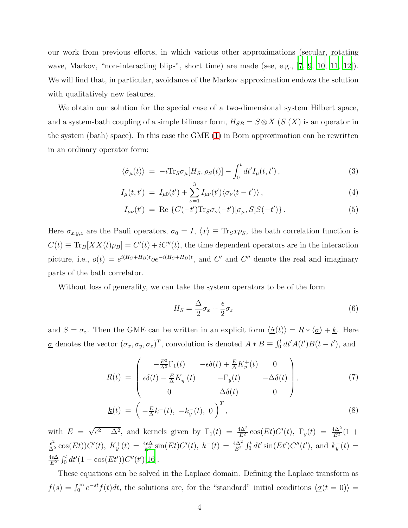our work from previous efforts, in which various other approximations (secular, rotating wave, Markov, "non-interacting blips", short time) are made (see, e.g., [\[7](#page-10-6), [9](#page-10-8), [10,](#page-10-9) [11,](#page-10-10) [12](#page-10-11)]). We will find that, in particular, avoidance of the Markov approximation endows the solution with qualitatively new features.

We obtain our solution for the special case of a two-dimensional system Hilbert space, and a system-bath coupling of a simple bilinear form,  $H_{SB} = S \otimes X$  (S (X) is an operator in the system (bath) space). In this case the GME [\(1\)](#page-2-0) in Born approximation can be rewritten in an ordinary operator form:

$$
\langle \dot{\sigma}_{\mu}(t) \rangle = -i \text{Tr}_{S} \sigma_{\mu} [H_{S}, \rho_{S}(t)] - \int_{0}^{t} dt' I_{\mu}(t, t'), \qquad (3)
$$

$$
I_{\mu}(t, t') = I_{\mu 0}(t') + \sum_{\nu=1}^{3} I_{\mu \nu}(t') \langle \sigma_{\nu}(t - t') \rangle , \qquad (4)
$$

$$
I_{\mu\nu}(t') = \text{Re}\left\{C(-t')\text{Tr}_S\sigma_{\nu}(-t')[\sigma_{\mu},S]S(-t')\right\}.
$$
 (5)

Here  $\sigma_{x,y,z}$  are the Pauli operators,  $\sigma_0 = I$ ,  $\langle x \rangle \equiv \text{Tr}_S x \rho_S$ , the bath correlation function is  $C(t) \equiv \text{Tr}_B[XX(t)\rho_B] = C'(t) + iC''(t)$ , the time dependent operators are in the interaction picture, i.e.,  $o(t) = e^{i(H_S + H_B)t}oe^{-i(H_S + H_B)t}$ , and C' and C'' denote the real and imaginary parts of the bath correlator.

Without loss of generality, we can take the system operators to be of the form

$$
H_S = \frac{\Delta}{2}\sigma_x + \frac{\epsilon}{2}\sigma_z \tag{6}
$$

and  $S = \sigma_z$ . Then the GME can be written in an explicit form  $\langle \underline{\dot{\sigma}}(t) \rangle = R * \langle \underline{\sigma} \rangle + \underline{k}$ . Here  $\underline{\sigma}$  denotes the vector  $(\sigma_x, \sigma_y, \sigma_z)^T$ , convolution is denoted  $A * B \equiv \int_0^t dt' A(t') B(t - t')$ , and

$$
R(t) = \begin{pmatrix} -\frac{E^2}{\Delta^2} \Gamma_1(t) & -\epsilon \delta(t) + \frac{E}{\Delta} K_y^+(t) & 0\\ \epsilon \delta(t) - \frac{E}{\Delta} K_y^+(t) & -\Gamma_y(t) & -\Delta \delta(t)\\ 0 & \Delta \delta(t) & 0 \end{pmatrix},
$$
(7)

$$
\underline{k}(t) = \left(-\frac{E}{\Delta}k^{-}(t), -k_{y}^{-}(t), 0\right)^{T}, \tag{8}
$$

with  $E = \sqrt{\epsilon^2 + \Delta^2}$ , and kernels given by  $\Gamma_1(t) = \frac{4\Delta^2}{E^2} \cos(Et) C'(t)$ ,  $\Gamma_y(t) = \frac{4\Delta^2}{E^2} (1 +$  $\frac{\epsilon^2}{\Delta^2} \cos(Et) C'(t)$ ,  $K_y^+(t) = \frac{4\epsilon\Delta}{E^2} \sin(Et) C'(t)$ ,  $k^-(t) = \frac{4\Delta^2}{E^2} \int_0^t dt' \sin(Et') C''(t')$ , and  $k_y^-(t) =$  $\frac{4\epsilon\Delta}{E^2} \int_0^t dt' (1 - \cos(Et')) C''(t')[16].$  $\frac{4\epsilon\Delta}{E^2} \int_0^t dt' (1 - \cos(Et')) C''(t')[16].$  $\frac{4\epsilon\Delta}{E^2} \int_0^t dt' (1 - \cos(Et')) C''(t')[16].$ 

These equations can be solved in the Laplace domain. Defining the Laplace transform as  $f(s) = \int_0^\infty e^{-st} f(t) dt$ , the solutions are, for the "standard" initial conditions  $\langle \underline{\sigma}(t = 0) \rangle =$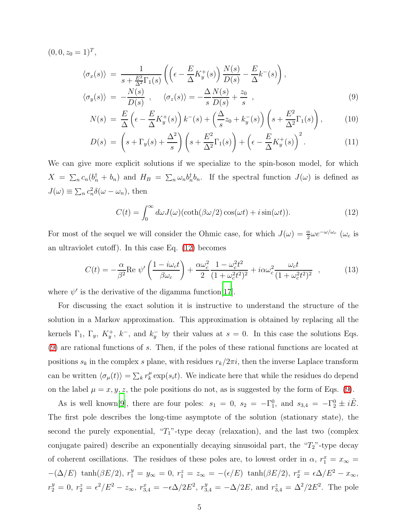<span id="page-4-1"></span> $(0, 0, z_0 = 1)^T$ ,

$$
\langle \sigma_x(s) \rangle = \frac{1}{s + \frac{E^2}{\Delta^2} \Gamma_1(s)} \left( \left( \epsilon - \frac{E}{\Delta} K_y^+(s) \right) \frac{N(s)}{D(s)} - \frac{E}{\Delta} k^-(s) \right),
$$
  

$$
\langle \sigma_y(s) \rangle = -\frac{N(s)}{D(s)}, \quad \langle \sigma_z(s) \rangle = -\frac{\Delta N(s)}{S(s)} + \frac{z_0}{S},
$$
 (9)

$$
N(s) = \frac{E}{\Delta} \left( \epsilon - \frac{E}{\Delta} K_y^+(s) \right) k^-(s) + \left( \frac{\Delta}{s} z_0 + k_y^-(s) \right) \left( s + \frac{E^2}{\Delta^2} \Gamma_1(s) \right), \tag{10}
$$

$$
D(s) = \left(s + \Gamma_y(s) + \frac{\Delta^2}{s}\right) \left(s + \frac{E^2}{\Delta^2} \Gamma_1(s)\right) + \left(\epsilon - \frac{E}{\Delta} K_y^+(s)\right)^2. \tag{11}
$$

<span id="page-4-0"></span>We can give more explicit solutions if we specialize to the spin-boson model, for which  $X = \sum_n c_n (b_n^{\dagger} + b_n)$  and  $H_B = \sum_n \omega_n b_n^{\dagger} b_n$ . If the spectral function  $J(\omega)$  is defined as  $J(\omega) \equiv \sum_n c_n^2 \delta(\omega - \omega_n)$ , then

$$
C(t) = \int_0^\infty d\omega J(\omega) (\coth(\beta \omega/2) \cos(\omega t) + i \sin(\omega t)). \tag{12}
$$

<span id="page-4-2"></span>For most of the sequel we will consider the Ohmic case, for which  $J(\omega) = \frac{\alpha}{2} \omega e^{-\omega/\omega_c}$  ( $\omega_c$  is an ultraviolet cutoff). In this case Eq. [\(12\)](#page-4-0) becomes

$$
C(t) = -\frac{\alpha}{\beta^2} \text{Re } \psi' \left( \frac{1 - i\omega_c t}{\beta \omega_c} \right) + \frac{\alpha \omega_c^2}{2} \frac{1 - \omega_c^2 t^2}{(1 + \omega_c^2 t^2)^2} + i\alpha \omega_c^2 \frac{\omega_c t}{(1 + \omega_c^2 t^2)^2} ,\qquad (13)
$$

where  $\psi'$  is the derivative of the digamma function [\[17](#page-11-4)].

For discussing the exact solution it is instructive to understand the structure of the solution in a Markov approximation. This approximation is obtained by replacing all the kernels  $\Gamma_1$ ,  $\Gamma_y$ ,  $K_y^+$ ,  $k^-$ , and  $k_y^-$  by their values at  $s = 0$ . In this case the solutions Eqs. [\(9\)](#page-4-1) are rational functions of s. Then, if the poles of these rational functions are located at positions  $s_k$  in the complex s plane, with residues  $r_k/2\pi i$ , then the inverse Laplace transform can be written  $\langle \sigma_\mu(t) \rangle = \sum_k r_k^\mu$  $\mu_k^{\mu} \exp(s_i t)$ . We indicate here that while the residues do depend on the label  $\mu = x, y, z$ , the pole positions do not, as is suggested by the form of Eqs. [\(9\)](#page-4-1).

As is well known[\[9](#page-10-8)], there are four poles:  $s_1 = 0$ ,  $s_2 = -\Gamma_1^0$ , and  $s_{3,4} = -\Gamma_2^0 \pm i\tilde{E}$ . The first pole describes the long-time asymptote of the solution (stationary state), the second the purely exponential, " $T_1$ "-type decay (relaxation), and the last two (complex conjugate paired) describe an exponentially decaying sinusoidal part, the " $T_2$ "-type decay of coherent oscillations. The residues of these poles are, to lowest order in  $\alpha$ ,  $r_1^x = x_{\infty} =$  $-(\Delta/E) \tanh(\beta E/2), r_1^y = y_\infty = 0, r_1^z = z_\infty = -(\epsilon/E) \tanh(\beta E/2), r_2^x = \epsilon \Delta/E^2 - x_\infty,$  $r_2^y = 0, r_2^z = \epsilon^2/E^2 - z_{\infty}, r_{3,4}^x = -\epsilon\Delta/2E^2, r_{3,4}^y = -\Delta/2E, \text{ and } r_{3,4}^z = \Delta^2/2E^2.$  The pole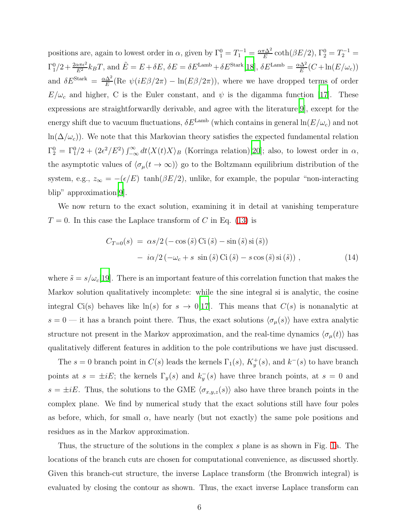positions are, again to lowest order in  $\alpha$ , given by  $\Gamma_1^0 = T_1^{-1} = \frac{\alpha \pi \Delta^2}{E}$  $\frac{\pi \Delta^2}{E} \coth(\beta E/2), \Gamma_2^0 = T_2^{-1} =$  $\Gamma_1^0/2 + \frac{2\alpha\pi\epsilon^2}{E^2} k_B T$ , and  $\tilde{E} = E + \delta E$ ,  $\delta E = \delta E^{\text{Lamb}} + \delta E^{\text{Stark}}$ [\[18](#page-11-5)],  $\delta E^{\text{Lamb}} = \frac{\alpha\Delta^2}{E}$  $\frac{d\Delta^2}{E}(C+\ln(E/\omega_c))$ and  $\delta E^{\text{Stark}} = \frac{\alpha \Delta^2}{E}$  $\frac{\Delta^2}{E}$ (Re  $\psi(iE\beta/2\pi) - \ln(E\beta/2\pi)$ ), where we have dropped terms of order  $E/\omega_c$  and higher, C is the Euler constant, and  $\psi$  is the digamma function [\[17\]](#page-11-4). These expressions are straightforwardly derivable, and agree with the literature[\[9](#page-10-8)], except for the energy shift due to vacuum fluctuations,  $\delta E^{\text{Lamb}}$  (which contains in general  $\ln(E/\omega_c)$  and not ln( $\Delta/\omega_c$ )). We note that this Markovian theory satisfies the expected fundamental relation  $\Gamma_2^0 = \Gamma_1^0/2 + (2\epsilon^2/E^2) \int_{-\infty}^{\infty} dt \langle X(t)X \rangle_B$  (Korringa relation)[\[20\]](#page-11-6); also, to lowest order in  $\alpha$ , the asymptotic values of  $\langle \sigma_\mu(t \to \infty) \rangle$  go to the Boltzmann equilibrium distribution of the system, e.g.,  $z_{\infty} = -(\epsilon/E) \tanh(\beta E/2)$ , unlike, for example, the popular "non-interacting blip" approximation[\[9](#page-10-8)].

We now return to the exact solution, examining it in detail at vanishing temperature  $T = 0$ . In this case the Laplace transform of C in Eq. [\(13\)](#page-4-2) is

$$
C_{T=0}(s) = \alpha s/2 \left(-\cos\left(\tilde{s}\right) \text{Ci}\left(\tilde{s}\right) - \sin\left(\tilde{s}\right) \text{si}\left(\tilde{s}\right)\right) - i\alpha/2 \left(-\omega_c + s \sin\left(\tilde{s}\right) \text{Ci}\left(\tilde{s}\right) - s \cos\left(\tilde{s}\right) \text{si}\left(\tilde{s}\right)\right),
$$
\n(14)

where  $\tilde{s} = s/\omega_c$ [\[19\]](#page-11-7). There is an important feature of this correlation function that makes the Markov solution qualitatively incomplete: while the sine integral si is analytic, the cosine integral Ci(s) behaves like  $\ln(s)$  for  $s \to 0$ [\[17\]](#page-11-4). This means that  $C(s)$  is nonanalytic at  $s = 0$  — it has a branch point there. Thus, the exact solutions  $\langle \sigma_\mu(s) \rangle$  have extra analytic structure not present in the Markov approximation, and the real-time dynamics  $\langle \sigma_{\mu}(t) \rangle$  has qualitatively different features in addition to the pole contributions we have just discussed.

The  $s = 0$  branch point in  $C(s)$  leads the kernels  $\Gamma_1(s)$ ,  $K_y^+(s)$ , and  $k^-(s)$  to have branch points at  $s = \pm iE$ ; the kernels  $\Gamma_y(s)$  and  $k_y^-(s)$  have three branch points, at  $s = 0$  and  $s = \pm iE$ . Thus, the solutions to the GME  $\langle \sigma_{x,y,z}(s) \rangle$  also have three branch points in the complex plane. We find by numerical study that the exact solutions still have four poles as before, which, for small  $\alpha$ , have nearly (but not exactly) the same pole positions and residues as in the Markov approximation.

Thus, the structure of the solutions in the complex s plane is as shown in Fig. [1a](#page-13-0). The locations of the branch cuts are chosen for computational convenience, as discussed shortly. Given this branch-cut structure, the inverse Laplace transform (the Bromwich integral) is evaluated by closing the contour as shown. Thus, the exact inverse Laplace transform can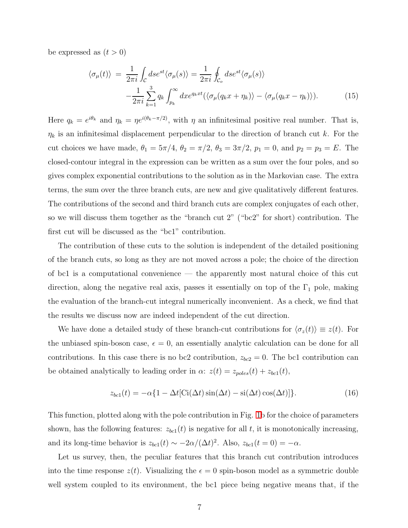<span id="page-6-0"></span>be expressed as  $(t > 0)$ 

$$
\langle \sigma_{\mu}(t) \rangle = \frac{1}{2\pi i} \int_{\mathcal{C}} ds e^{st} \langle \sigma_{\mu}(s) \rangle = \frac{1}{2\pi i} \oint_{\mathcal{C}_{o}} ds e^{st} \langle \sigma_{\mu}(s) \rangle - \frac{1}{2\pi i} \sum_{k=1}^{3} q_{k} \int_{p_{k}}^{\infty} dx e^{q_{k}xt} \langle \langle \sigma_{\mu}(q_{k}x + \eta_{k}) \rangle - \langle \sigma_{\mu}(q_{k}x - \eta_{k}) \rangle ). \tag{15}
$$

Here  $q_k = e^{i\theta_k}$  and  $\eta_k = \eta e^{i(\theta_k - \pi/2)}$ , with  $\eta$  an infinitesimal positive real number. That is,  $\eta_k$  is an infinitesimal displacement perpendicular to the direction of branch cut k. For the cut choices we have made,  $\theta_1 = 5\pi/4$ ,  $\theta_2 = \pi/2$ ,  $\theta_3 = 3\pi/2$ ,  $p_1 = 0$ , and  $p_2 = p_3 = E$ . The closed-contour integral in the expression can be written as a sum over the four poles, and so gives complex exponential contributions to the solution as in the Markovian case. The extra terms, the sum over the three branch cuts, are new and give qualitatively different features. The contributions of the second and third branch cuts are complex conjugates of each other, so we will discuss them together as the "branch cut 2" ("bc2" for short) contribution. The first cut will be discussed as the "bc1" contribution.

The contribution of these cuts to the solution is independent of the detailed positioning of the branch cuts, so long as they are not moved across a pole; the choice of the direction of bc1 is a computational convenience — the apparently most natural choice of this cut direction, along the negative real axis, passes it essentially on top of the  $\Gamma_1$  pole, making the evaluation of the branch-cut integral numerically inconvenient. As a check, we find that the results we discuss now are indeed independent of the cut direction.

We have done a detailed study of these branch-cut contributions for  $\langle \sigma_z(t) \rangle \equiv z(t)$ . For the unbiased spin-boson case,  $\epsilon = 0$ , an essentially analytic calculation can be done for all contributions. In this case there is no bc2 contribution,  $z_{bc2} = 0$ . The bc1 contribution can be obtained analytically to leading order in  $\alpha$ :  $z(t) = z_{poles}(t) + z_{bc1}(t)$ ,

$$
z_{bc1}(t) = -\alpha \{ 1 - \Delta t [\text{Ci}(\Delta t) \sin(\Delta t) - \text{si}(\Delta t) \cos(\Delta t)] \}. \tag{16}
$$

<span id="page-6-1"></span>This function, plotted along with the pole contribution in Fig. [1b](#page-13-0) for the choice of parameters shown, has the following features:  $z_{bc1}(t)$  is negative for all t, it is monotonically increasing, and its long-time behavior is  $z_{bc1}(t) \sim -2\alpha/(\Delta t)^2$ . Also,  $z_{bc1}(t=0) = -\alpha$ .

Let us survey, then, the peculiar features that this branch cut contribution introduces into the time response  $z(t)$ . Visualizing the  $\epsilon = 0$  spin-boson model as a symmetric double well system coupled to its environment, the bc1 piece being negative means that, if the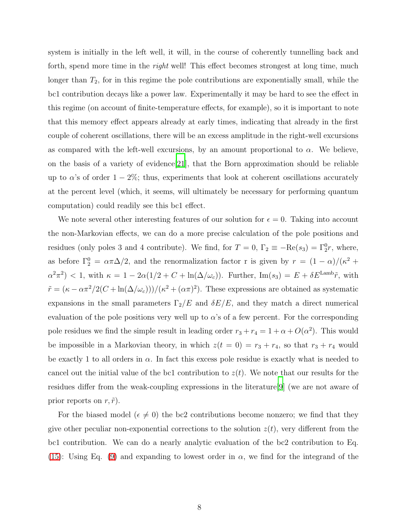system is initially in the left well, it will, in the course of coherently tunnelling back and forth, spend more time in the *right* well! This effect becomes strongest at long time, much longer than  $T_2$ , for in this regime the pole contributions are exponentially small, while the bc1 contribution decays like a power law. Experimentally it may be hard to see the effect in this regime (on account of finite-temperature effects, for example), so it is important to note that this memory effect appears already at early times, indicating that already in the first couple of coherent oscillations, there will be an excess amplitude in the right-well excursions as compared with the left-well excursions, by an amount proportional to  $\alpha$ . We believe, on the basis of a variety of evidence[\[21](#page-11-8)], that the Born approximation should be reliable up to  $\alpha$ 's of order  $1 - 2\%$ ; thus, experiments that look at coherent oscillations accurately at the percent level (which, it seems, will ultimately be necessary for performing quantum computation) could readily see this bc1 effect.

We note several other interesting features of our solution for  $\epsilon = 0$ . Taking into account the non-Markovian effects, we can do a more precise calculation of the pole positions and residues (only poles 3 and 4 contribute). We find, for  $T = 0$ ,  $\Gamma_2 \equiv -\text{Re}(s_3) = \Gamma_2^0 r$ , where, as before  $\Gamma_2^0 = \alpha \pi \Delta/2$ , and the renormalization factor r is given by  $r = (1 - \alpha)/(\kappa^2 + \alpha^2)$  $\alpha^2 \pi^2$   $<$  1, with  $\kappa = 1 - 2\alpha(1/2 + C + \ln(\Delta/\omega_c))$ . Further,  $\text{Im}(s_3) = E + \delta E^{\text{Lamb}} \tilde{r}$ , with  $\tilde{r} = (\kappa - \alpha \pi^2/2(C + \ln(\Delta/\omega_c)))/(\kappa^2 + (\alpha \pi)^2)$ . These expressions are obtained as systematic expansions in the small parameters  $\Gamma_2/E$  and  $\delta E/E$ , and they match a direct numerical evaluation of the pole positions very well up to  $\alpha$ 's of a few percent. For the corresponding pole residues we find the simple result in leading order  $r_3 + r_4 = 1 + \alpha + O(\alpha^2)$ . This would be impossible in a Markovian theory, in which  $z(t = 0) = r_3 + r_4$ , so that  $r_3 + r_4$  would be exactly 1 to all orders in  $\alpha$ . In fact this excess pole residue is exactly what is needed to cancel out the initial value of the bc1 contribution to  $z(t)$ . We note that our results for the residues differ from the weak-coupling expressions in the literature[\[9\]](#page-10-8) (we are not aware of prior reports on  $r, \tilde{r}$ ).

For the biased model ( $\epsilon \neq 0$ ) the bc2 contributions become nonzero; we find that they give other peculiar non-exponential corrections to the solution  $z(t)$ , very different from the bc1 contribution. We can do a nearly analytic evaluation of the bc2 contribution to Eq. [\(15\)](#page-6-0): Using Eq. [\(9\)](#page-4-1) and expanding to lowest order in  $\alpha$ , we find for the integrand of the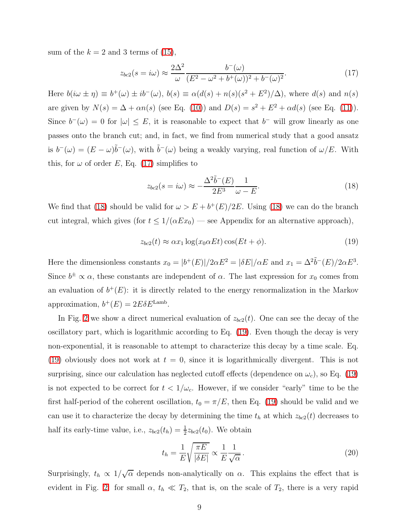<span id="page-8-0"></span>sum of the  $k = 2$  and 3 terms of [\(15\)](#page-6-0),

$$
z_{bc2}(s = i\omega) \approx \frac{2\Delta^2}{\omega} \frac{b^-(\omega)}{(E^2 - \omega^2 + b^+(\omega))^2 + b^-(\omega)^2}.
$$
\n(17)

Here  $b(i\omega \pm \eta) \equiv b^+(\omega) \pm ib^-(\omega)$ ,  $b(s) \equiv \alpha(d(s) + n(s)(s^2 + E^2)/\Delta)$ , where  $d(s)$  and  $n(s)$ are given by  $N(s) = \Delta + \alpha n(s)$  (see Eq. [\(10\)](#page-4-1)) and  $D(s) = s^2 + E^2 + \alpha d(s)$  (see Eq. [\(11\)](#page-4-1)). Since  $b^-(\omega) = 0$  for  $|\omega| \leq E$ , it is reasonable to expect that  $b^-$  will grow linearly as one passes onto the branch cut; and, in fact, we find from numerical study that a good ansatz is  $b^-(\omega) = (E - \omega)\tilde{b}^-(\omega)$ , with  $\tilde{b}^-(\omega)$  being a weakly varying, real function of  $\omega/E$ . With this, for  $\omega$  of order E, Eq. [\(17\)](#page-8-0) simplifies to

<span id="page-8-1"></span>
$$
z_{bc2}(s = i\omega) \approx -\frac{\Delta^2 \tilde{b}^-(E)}{2E^3} \frac{1}{\omega - E}.
$$
\n(18)

<span id="page-8-2"></span>We find that [\(18\)](#page-8-1) should be valid for  $\omega > E + b^{+}(E)/2E$ . Using (18) we can do the branch cut integral, which gives (for  $t \leq 1/(\alpha Ex_0)$  — see Appendix for an alternative approach),

$$
z_{bc2}(t) \approx \alpha x_1 \log(x_0 \alpha E t) \cos(E t + \phi). \tag{19}
$$

Here the dimensionless constants  $x_0 = |b^+(E)|/2\alpha E^2 = |\delta E|/\alpha E$  and  $x_1 = \Delta^2 \tilde{b}^-(E)/2\alpha E^3$ . Since  $b^{\pm} \propto \alpha$ , these constants are independent of  $\alpha$ . The last expression for  $x_0$  comes from an evaluation of  $b^+(E)$ : it is directly related to the energy renormalization in the Markov approximation,  $b^+(E) = 2E\delta E^{\text{Lamb}}$ .

In Fig. [2](#page-14-0) we show a direct numerical evaluation of  $z_{bc2}(t)$ . One can see the decay of the oscillatory part, which is logarithmic according to Eq. [\(19\)](#page-8-2). Even though the decay is very non-exponential, it is reasonable to attempt to characterize this decay by a time scale. Eq. [\(19\)](#page-8-2) obviously does not work at  $t = 0$ , since it is logarithmically divergent. This is not surprising, since our calculation has neglected cutoff effects (dependence on  $\omega_c$ ), so Eq. [\(19\)](#page-8-2) is not expected to be correct for  $t < 1/\omega_c$ . However, if we consider "early" time to be the first half-period of the coherent oscillation,  $t_0 = \pi/E$ , then Eq. [\(19\)](#page-8-2) should be valid and we can use it to characterize the decay by determining the time  $t<sub>h</sub>$  at which  $z<sub>bc2</sub>(t)$  decreases to half its early-time value, i.e.,  $z_{bc2}(t_h) = \frac{1}{2} z_{bc2}(t_0)$ . We obtain

<span id="page-8-3"></span>
$$
t_h = \frac{1}{E} \sqrt{\frac{\pi E}{|\delta E|}} \propto \frac{1}{E} \frac{1}{\sqrt{\alpha}}.
$$
\n(20)

Surprisingly,  $t_h \propto 1/\sqrt{\alpha}$  depends non-analytically on  $\alpha$ . This explains the effect that is evident in Fig. [2:](#page-14-0) for small  $\alpha$ ,  $t_h \ll T_2$ , that is, on the scale of  $T_2$ , there is a very rapid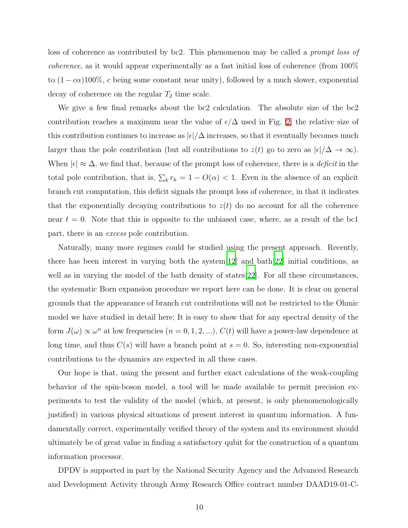loss of coherence as contributed by bc2. This phenomenon may be called a prompt loss of coherence, as it would appear experimentally as a fast initial loss of coherence (from 100% to  $(1 - c\alpha)100\%$ , c being some constant near unity), followed by a much slower, exponential decay of coherence on the regular  $T_2$  time scale.

We give a few final remarks about the bc2 calculation. The absolute size of the bc2 contribution reaches a maximum near the value of  $\epsilon/\Delta$  used in Fig. [2;](#page-14-0) the relative size of this contribution continues to increase as  $|\epsilon|/\Delta$  increases, so that it eventually becomes much larger than the pole contribution (but all contributions to  $z(t)$  go to zero as  $|\epsilon|/\Delta \to \infty$ ). When  $|\epsilon| \approx \Delta$ , we find that, because of the prompt loss of coherence, there is a *deficit* in the total pole contribution, that is,  $\sum_k r_k = 1 - O(\alpha) < 1$ . Even in the absence of an explicit branch cut computation, this deficit signals the prompt loss of coherence, in that it indicates that the exponentially decaying contributions to  $z(t)$  do no account for all the coherence near  $t = 0$ . Note that this is opposite to the unbiased case, where, as a result of the bc1 part, there is an excess pole contribution.

Naturally, many more regimes could be studied using the present approach. Recently, there has been interest in varying both the system  $|12|$  and bath  $|22|$  initial conditions, as well as in varying the model of the bath density of states [\[22](#page-11-9)]. For all these circumstances, the systematic Born expansion procedure we report here can be done. It is clear on general grounds that the appearance of branch cut contributions will not be restricted to the Ohmic model we have studied in detail here; It is easy to show that for any spectral density of the form  $J(\omega) \propto \omega^n$  at low frequencies  $(n = 0, 1, 2, ...)$ ,  $C(t)$  will have a power-law dependence at long time, and thus  $C(s)$  will have a branch point at  $s = 0$ . So, interesting non-exponential contributions to the dynamics are expected in all these cases.

Our hope is that, using the present and further exact calculations of the weak-coupling behavior of the spin-boson model, a tool will be made available to permit precision experiments to test the validity of the model (which, at present, is only phenomenologically justified) in various physical situations of present interest in quantum information. A fundamentally correct, experimentally verified theory of the system and its environment should ultimately be of great value in finding a satisfactory qubit for the construction of a quantum information processor.

DPDV is supported in part by the National Security Agency and the Advanced Research and Development Activity through Army Research Office contract number DAAD19-01-C-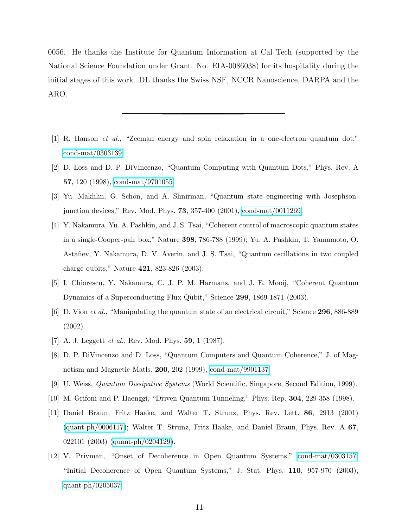0056. He thanks the Institute for Quantum Information at Cal Tech (supported by the National Science Foundation under Grant. No. EIA-0086038) for its hospitality during the initial stages of this work. DL thanks the Swiss NSF, NCCR Nanoscience, DARPA and the ARO.

- <span id="page-10-0"></span>[1] R. Hanson et al., "Zeeman energy and spin relaxation in a one-electron quantum dot," [cond-mat/0303139.](http://arxiv.org/abs/cond-mat/0303139)
- <span id="page-10-1"></span>[2] D. Loss and D. P. DiVincenzo, "Quantum Computing with Quantum Dots," Phys. Rev. A 57, 120 (1998), [cond-mat/9701055.](http://arxiv.org/abs/cond-mat/9701055)
- <span id="page-10-2"></span>[3] Yu. Makhlin, G. Schön, and A. Shnirman, "Quantum state engineering with Josephsonjunction devices," Rev. Mod. Phys. 73, 357-400 (2001), [cond-mat/0011269.](http://arxiv.org/abs/cond-mat/0011269)
- <span id="page-10-3"></span>[4] Y. Nakamura, Yu. A. Pashkin, and J. S. Tsai, "Coherent control of macroscopic quantum states in a single-Cooper-pair box," Nature 398, 786-788 (1999); Yu. A. Pashkin, T. Yamamoto, O. Astafiev, Y. Nakamura, D. V. Averin, and J. S. Tsai, "Quantum oscillations in two coupled charge qubits," Nature 421, 823-826 (2003).
- <span id="page-10-4"></span>[5] I. Chiorescu, Y. Nakamura, C. J. P. M. Harmans, and J. E. Mooij, "Coherent Quantum Dynamics of a Superconducting Flux Qubit," Science 299, 1869-1871 (2003).
- <span id="page-10-5"></span>[6] D. Vion et al., "Manipulating the quantum state of an electrical circuit," Science 296, 886-889 (2002).
- <span id="page-10-6"></span>[7] A. J. Leggett *et al.*, Rev. Mod. Phys. **59**, 1 (1987).
- <span id="page-10-7"></span>[8] D. P. DiVincenzo and D. Loss, "Quantum Computers and Quantum Coherence," J. of Magnetism and Magnetic Matls. 200, 202 (1999), [cond-mat/9901137.](http://arxiv.org/abs/cond-mat/9901137)
- <span id="page-10-8"></span>[9] U. Weiss, Quantum Dissipative Systems (World Scientific, Singapore, Second Edition, 1999).
- <span id="page-10-9"></span>[10] M. Grifoni and P. Haenggi, "Driven Quantum Tunneling," Phys. Rep. 304, 229-358 (1998).
- <span id="page-10-10"></span>[11] Daniel Braun, Fritz Haake, and Walter T. Strunz, Phys. Rev. Lett. 86, 2913 (2001) [\(quant-ph/0006117\)](http://arxiv.org/abs/quant-ph/0006117); Walter T. Strunz, Fritz Haake, and Daniel Braun, Phys. Rev. A 67, 022101 (2003) [\(quant-ph/0204129\)](http://arxiv.org/abs/quant-ph/0204129).
- <span id="page-10-11"></span>[12] V. Privman, "Onset of Decoherence in Open Quantum Systems," [cond-mat/0303157;](http://arxiv.org/abs/cond-mat/0303157) "Initial Decoherence of Open Quantum Systems," J. Stat. Phys. 110, 957-970 (2003), [quant-ph/0205037.](http://arxiv.org/abs/quant-ph/0205037)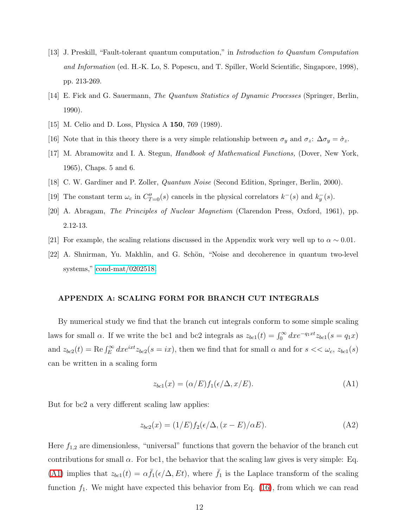- <span id="page-11-0"></span>[13] J. Preskill, "Fault-tolerant quantum computation," in Introduction to Quantum Computation and Information (ed. H.-K. Lo, S. Popescu, and T. Spiller, World Scientific, Singapore, 1998), pp. 213-269.
- <span id="page-11-1"></span>[14] E. Fick and G. Sauermann, The Quantum Statistics of Dynamic Processes (Springer, Berlin, 1990).
- <span id="page-11-3"></span><span id="page-11-2"></span>[15] M. Celio and D. Loss, Physica A **150**, 769 (1989).
- <span id="page-11-4"></span>[16] Note that in this theory there is a very simple relationship between  $\sigma_y$  and  $\sigma_z$ :  $\Delta \sigma_y = \dot{\sigma}_z$ .
- [17] M. Abramowitz and I. A. Stegun, Handbook of Mathematical Functions, (Dover, New York, 1965), Chaps. 5 and 6.
- <span id="page-11-7"></span><span id="page-11-5"></span>[18] C. W. Gardiner and P. Zoller, Quantum Noise (Second Edition, Springer, Berlin, 2000).
- [19] The constant term  $\omega_c$  in  $C''_{T=0}(s)$  cancels in the physical correlators  $k^-(s)$  and  $k_y^-(s)$ .
- <span id="page-11-6"></span>[20] A. Abragam, The Principles of Nuclear Magnetism (Clarendon Press, Oxford, 1961), pp. 2.12-13.
- <span id="page-11-8"></span>[21] For example, the scaling relations discussed in the Appendix work very well up to  $\alpha \sim 0.01$ .
- <span id="page-11-9"></span>[22] A. Shnirman, Yu. Makhlin, and G. Schön, "Noise and decoherence in quantum two-level systems," [cond-mat/0202518.](http://arxiv.org/abs/cond-mat/0202518)

## APPENDIX A: SCALING FORM FOR BRANCH CUT INTEGRALS

By numerical study we find that the branch cut integrals conform to some simple scaling laws for small  $\alpha$ . If we write the bc1 and bc2 integrals as  $z_{bc1}(t) = \int_0^\infty dx e^{-q_1xt} z_{bc1}(s = q_1x)$ and  $z_{bc2}(t) = \text{Re} \int_E^{\infty} dx e^{ixt} z_{bc2}(s = ix)$ , then we find that for small  $\alpha$  and for  $s < \omega_c$ ,  $z_{bc1}(s)$ can be written in a scaling form

<span id="page-11-10"></span>
$$
z_{bc1}(x) = (\alpha/E)f_1(\epsilon/\Delta, x/E). \tag{A1}
$$

<span id="page-11-11"></span>But for bc2 a very different scaling law applies:

$$
z_{bc2}(x) = (1/E)f_2(\epsilon/\Delta, (x - E)/\alpha E). \tag{A2}
$$

Here  $f_{1,2}$  are dimensionless, "universal" functions that govern the behavior of the branch cut contributions for small  $\alpha$ . For bc1, the behavior that the scaling law gives is very simple: Eq. [\(A1\)](#page-11-10) implies that  $z_{bc1}(t) = \alpha \bar{f}_1(\epsilon/\Delta, Et)$ , where  $\bar{f}_1$  is the Laplace transform of the scaling function  $f_1$ . We might have expected this behavior from Eq. [\(16\)](#page-6-1), from which we can read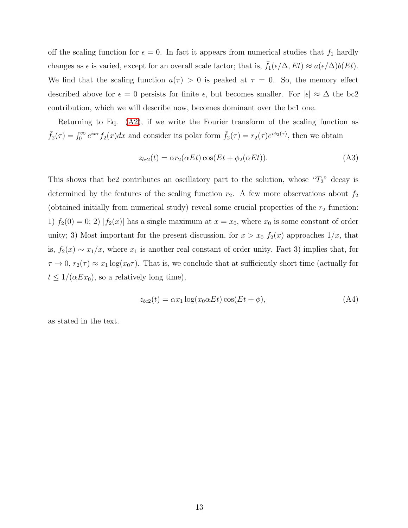off the scaling function for  $\epsilon = 0$ . In fact it appears from numerical studies that  $f_1$  hardly changes as  $\epsilon$  is varied, except for an overall scale factor; that is,  $\bar{f}_1(\epsilon/\Delta, Et) \approx a(\epsilon/\Delta)b(Et)$ . We find that the scaling function  $a(\tau) > 0$  is peaked at  $\tau = 0$ . So, the memory effect described above for  $\epsilon = 0$  persists for finite  $\epsilon$ , but becomes smaller. For  $|\epsilon| \approx \Delta$  the bc2 contribution, which we will describe now, becomes dominant over the bc1 one.

Returning to Eq. [\(A2\)](#page-11-11), if we write the Fourier transform of the scaling function as  $\bar{f}_2(\tau) = \int_0^\infty e^{ix\tau} f_2(x) dx$  and consider its polar form  $\bar{f}_2(\tau) = r_2(\tau) e^{i\phi_2(\tau)}$ , then we obtain

$$
z_{bc2}(t) = \alpha r_2(\alpha Et) \cos(Et + \phi_2(\alpha Et)). \tag{A3}
$$

This shows that bc2 contributes an oscillatory part to the solution, whose " $T_2$ " decay is determined by the features of the scaling function  $r_2$ . A few more observations about  $f_2$ (obtained initially from numerical study) reveal some crucial properties of the  $r_2$  function: 1)  $f_2(0) = 0$ ; 2)  $|f_2(x)|$  has a single maximum at  $x = x_0$ , where  $x_0$  is some constant of order unity; 3) Most important for the present discussion, for  $x > x_0$   $f_2(x)$  approaches  $1/x$ , that is,  $f_2(x) \sim x_1/x$ , where  $x_1$  is another real constant of order unity. Fact 3) implies that, for  $\tau \to 0$ ,  $r_2(\tau) \approx x_1 \log(x_0 \tau)$ . That is, we conclude that at sufficiently short time (actually for  $t \leq 1/(\alpha Ex_0)$ , so a relatively long time),

$$
z_{bc2}(t) = \alpha x_1 \log(x_0 \alpha E t) \cos(E t + \phi), \tag{A4}
$$

as stated in the text.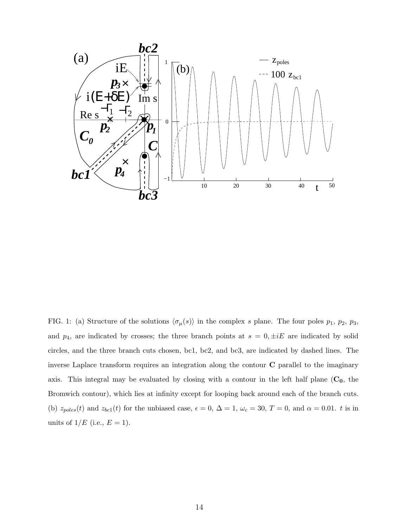

<span id="page-13-0"></span>FIG. 1: (a) Structure of the solutions  $\langle \sigma_\mu(s) \rangle$  in the complex s plane. The four poles  $p_1$ ,  $p_2$ ,  $p_3$ , and  $p_4$ , are indicated by crosses; the three branch points at  $s = 0, \pm iE$  are indicated by solid circles, and the three branch cuts chosen, bc1, bc2, and bc3, are indicated by dashed lines. The inverse Laplace transform requires an integration along the contour C parallel to the imaginary axis. This integral may be evaluated by closing with a contour in the left half plane  $(C_0,$  the Bromwich contour), which lies at infinity except for looping back around each of the branch cuts. (b)  $z_{poles}(t)$  and  $z_{bc1}(t)$  for the unbiased case,  $\epsilon = 0$ ,  $\Delta = 1$ ,  $\omega_c = 30$ ,  $T = 0$ , and  $\alpha = 0.01$ . t is in units of  $1/E$  (i.e.,  $E = 1$ ).